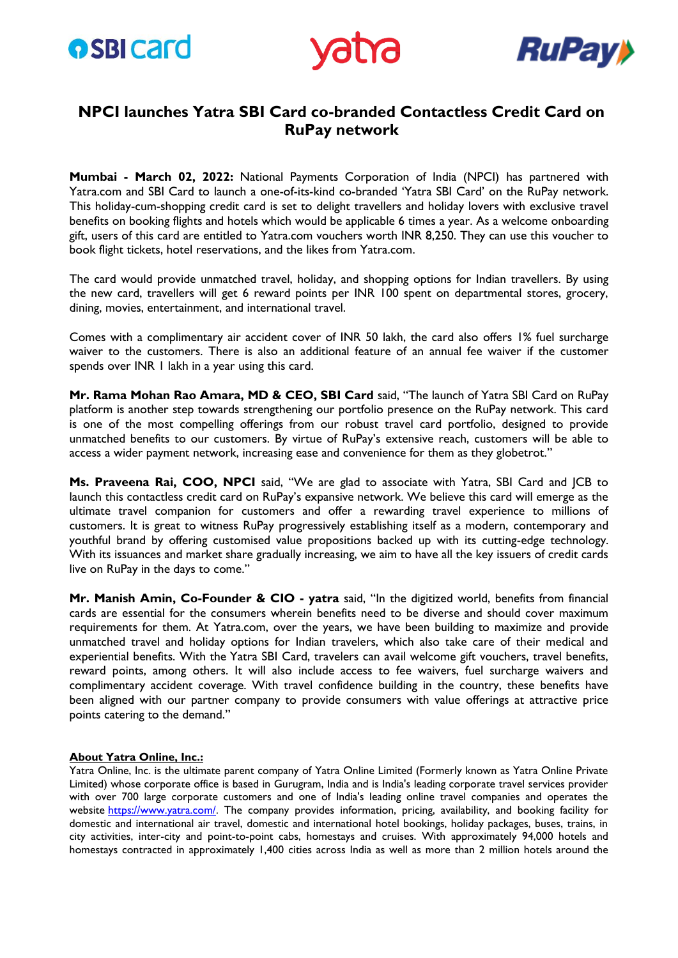





## **NPCI launches Yatra SBI Card co-branded Contactless Credit Card on RuPay network**

**Mumbai - March 02, 2022:** National Payments Corporation of India (NPCI) has partnered with Yatra.com and SBI Card to launch a one-of-its-kind co-branded 'Yatra SBI Card' on the RuPay network. This holiday-cum-shopping credit card is set to delight travellers and holiday lovers with exclusive travel benefits on booking flights and hotels which would be applicable 6 times a year. As a welcome onboarding gift, users of this card are entitled to Yatra.com vouchers worth INR 8,250. They can use this voucher to book flight tickets, hotel reservations, and the likes from Yatra.com.

The card would provide unmatched travel, holiday, and shopping options for Indian travellers. By using the new card, travellers will get 6 reward points per INR 100 spent on departmental stores, grocery, dining, movies, entertainment, and international travel.

Comes with a complimentary air accident cover of INR 50 lakh, the card also offers 1% fuel surcharge waiver to the customers. There is also an additional feature of an annual fee waiver if the customer spends over INR 1 lakh in a year using this card.

**Mr. Rama Mohan Rao Amara, MD & CEO, SBI Card** said, "The launch of Yatra SBI Card on RuPay platform is another step towards strengthening our portfolio presence on the RuPay network. This card is one of the most compelling offerings from our robust travel card portfolio, designed to provide unmatched benefits to our customers. By virtue of RuPay's extensive reach, customers will be able to access a wider payment network, increasing ease and convenience for them as they globetrot."

**Ms. Praveena Rai, COO, NPCI** said, "We are glad to associate with Yatra, SBI Card and JCB to launch this contactless credit card on RuPay's expansive network. We believe this card will emerge as the ultimate travel companion for customers and offer a rewarding travel experience to millions of customers. It is great to witness RuPay progressively establishing itself as a modern, contemporary and youthful brand by offering customised value propositions backed up with its cutting-edge technology. With its issuances and market share gradually increasing, we aim to have all the key issuers of credit cards live on RuPay in the days to come."

**Mr. Manish Amin, Co-Founder & CIO - yatra** said, "In the digitized world, benefits from financial cards are essential for the consumers wherein benefits need to be diverse and should cover maximum requirements for them. At Yatra.com, over the years, we have been building to maximize and provide unmatched travel and holiday options for Indian travelers, which also take care of their medical and experiential benefits. With the Yatra SBI Card, travelers can avail welcome gift vouchers, travel benefits, reward points, among others. It will also include access to fee waivers, fuel surcharge waivers and complimentary accident coverage. With travel confidence building in the country, these benefits have been aligned with our partner company to provide consumers with value offerings at attractive price points catering to the demand."

## **About Yatra Online, Inc.:**

Yatra Online, Inc. is the ultimate parent company of Yatra Online Limited (Formerly known as Yatra Online Private Limited) whose corporate office is based in Gurugram, India and is India's leading corporate travel services provider with over 700 large corporate customers and one of India's leading online travel companies and operates the website [https://www.yatra.com/.](https://ind01.safelinks.protection.outlook.com/?url=https%3A%2F%2Fwww.newsfilecorp.com%2Fredirect%2FoJqWLfrKXq&data=04%7C01%7Cpriyanka.chavda%40npci.org.in%7C68302ed6547840c0fb2008d9e5927859%7C8ca9216b1bdf40569775f5e402a48d32%7C0%7C0%7C637793239508054490%7CUnknown%7CTWFpbGZsb3d8eyJWIjoiMC4wLjAwMDAiLCJQIjoiV2luMzIiLCJBTiI6Ik1haWwiLCJXVCI6Mn0%3D%7C3000&sdata=DkrtNxA0zTXq%2BdbTgjVidWcJtE3zhvMd6JYeZJM2q8A%3D&reserved=0) The company provides information, pricing, availability, and booking facility for domestic and international air travel, domestic and international hotel bookings, holiday packages, buses, trains, in city activities, inter-city and point-to-point cabs, homestays and cruises. With approximately 94,000 hotels and homestays contracted in approximately 1,400 cities across India as well as more than 2 million hotels around the